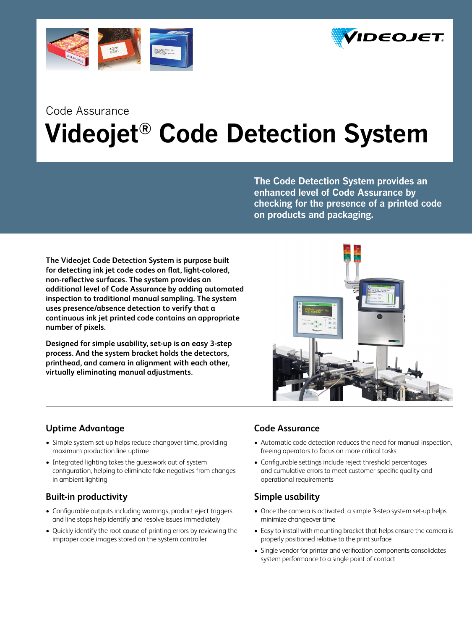



# Code Assurance  **Videojet® Code Detection System**

**The Code Detection System provides an enhanced level of Code Assurance by checking for the presence of a printed code on products and packaging.**

**The Videojet Code Detection System is purpose built for detecting ink jet code codes on flat, light-colored, non-reflective surfaces. The system provides an additional level of Code Assurance by adding automated inspection to traditional manual sampling. The system uses presence/absence detection to verify that a continuous ink jet printed code contains an appropriate number of pixels.** 

**Designed for simple usability, set-up is an easy 3-step process. And the system bracket holds the detectors, printhead, and camera in alignment with each other, virtually eliminating manual adjustments.**



## **Uptime Advantage**

- Simple system set-up helps reduce changover time, providing maximum production line uptime
- Integrated lighting takes the guesswork out of system configuration, helping to eliminate fake negatives from changes in ambient lighting

## **Built-in productivity**

- • Configurable outputs including warnings, product eject triggers and line stops help identify and resolve issues immediately
- Quickly identify the root cause of printing errors by reviewing the improper code images stored on the system controller

## **Code Assurance**

- Automatic code detection reduces the need for manual inspection, freeing operators to focus on more critical tasks
- • Configurable settings include reject threshold percentages and cumulative errors to meet customer-specific quality and operational requirements

## **Simple usability**

- Once the camera is activated, a simple 3-step system set-up helps minimize changeover time
- Easy to install with mounting bracket that helps ensure the camera is properly positioned relative to the print surface
- Single vendor for printer and verification components consolidates system performance to a single point of contact